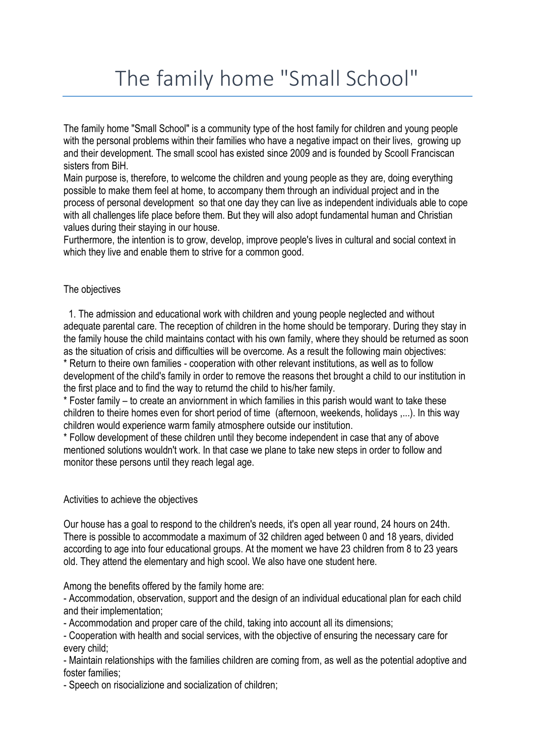## The family home "Small School"

The family home "Small School" is a community type of the host family for children and young people with the personal problems within their families who have a negative impact on their lives, growing up and their development. The small scool has existed since 2009 and is founded by Scooll Franciscan sisters from BiH.

Main purpose is, therefore, to welcome the children and young people as they are, doing everything possible to make them feel at home, to accompany them through an individual project and in the process of personal development so that one day they can live as independent individuals able to cope with all challenges life place before them. But they will also adopt fundamental human and Christian values during their staying in our house.

Furthermore, the intention is to grow, develop, improve people's lives in cultural and social context in which they live and enable them to strive for a common good.

## The objectives

1. The admission and educational work with children and young people neglected and without adequate parental care. The reception of children in the home should be temporary. During they stay in the family house the child maintains contact with his own family, where they should be returned as soon as the situation of crisis and difficulties will be overcome. As a result the following main objectives: \* Return to theire own families - cooperation with other relevant institutions, as well as to follow

development of the child's family in order to remove the reasons thet brought a child to our institution in the first place and to find the way to returnd the child to his/her family.

\* Foster family – to create an anviornment in which families in this parish would want to take these children to theire homes even for short period of time (afternoon, weekends, holidays ,...). In this way children would experience warm family atmosphere outside our institution.

\* Follow development of these children until they become independent in case that any of above mentioned solutions wouldn't work. In that case we plane to take new steps in order to follow and monitor these persons until they reach legal age.

## Activities to achieve the objectives

Our house has a goal to respond to the children's needs, it's open all year round, 24 hours on 24th. There is possible to accommodate a maximum of 32 children aged between 0 and 18 years, divided according to age into four educational groups. At the moment we have 23 children from 8 to 23 years old. They attend the elementary and high scool. We also have one student here.

Among the benefits offered by the family home are:

- Accommodation, observation, support and the design of an individual educational plan for each child and their implementation;

- Accommodation and proper care of the child, taking into account all its dimensions;

- Cooperation with health and social services, with the objective of ensuring the necessary care for every child;

- Maintain relationships with the families children are coming from, as well as the potential adoptive and foster families;

- Speech on risocializione and socialization of children;